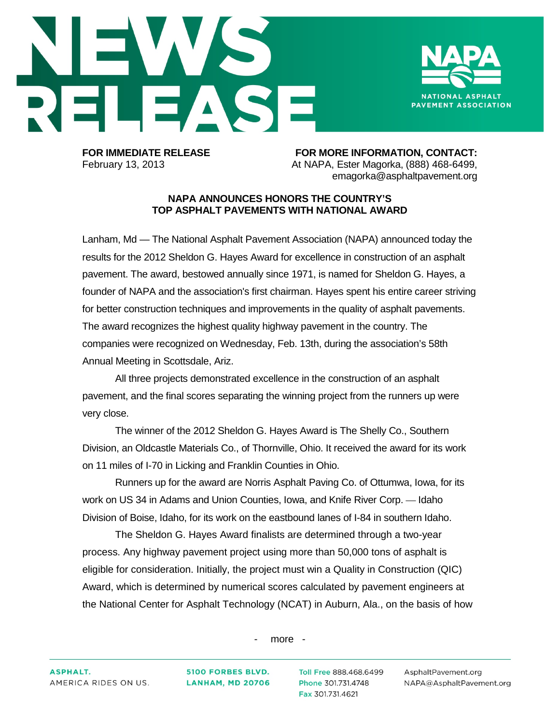



**FOR IMMEDIATE RELEASE FOR MORE INFORMATION, CONTACT:** February 13, 2013 At NAPA, Ester Magorka, (888) 468-6499, emagorka@asphaltpavement.org

## **NAPA ANNOUNCES HONORS THE COUNTRY'S TOP ASPHALT PAVEMENTS WITH NATIONAL AWARD**

Lanham, Md — The National Asphalt Pavement Association (NAPA) announced today the results for the 2012 Sheldon G. Hayes Award for excellence in construction of an asphalt pavement. The award, bestowed annually since 1971, is named for Sheldon G. Hayes, a founder of NAPA and the association's first chairman. Hayes spent his entire career striving for better construction techniques and improvements in the quality of asphalt pavements. The award recognizes the highest quality highway pavement in the country. The companies were recognized on Wednesday, Feb. 13th, during the association's 58th Annual Meeting in Scottsdale, Ariz.

All three projects demonstrated excellence in the construction of an asphalt pavement, and the final scores separating the winning project from the runners up were very close.

The winner of the 2012 Sheldon G. Hayes Award is The Shelly Co., Southern Division, an Oldcastle Materials Co., of Thornville, Ohio. It received the award for its work on 11 miles of I-70 in Licking and Franklin Counties in Ohio.

Runners up for the award are Norris Asphalt Paving Co. of Ottumwa, Iowa, for its work on US 34 in Adams and Union Counties, Iowa, and Knife River Corp. — Idaho Division of Boise, Idaho, for its work on the eastbound lanes of I-84 in southern Idaho.

The Sheldon G. Hayes Award finalists are determined through a two-year process. Any highway pavement project using more than 50,000 tons of asphalt is eligible for consideration. Initially, the project must win a Quality in Construction (QIC) Award, which is determined by numerical scores calculated by pavement engineers at the National Center for Asphalt Technology (NCAT) in Auburn, Ala., on the basis of how

- more -

**5100 FORBES BLVD. LANHAM, MD 20706**  Toll Free 888.468.6499 Phone 301.731.4748 Fax 301.731.4621